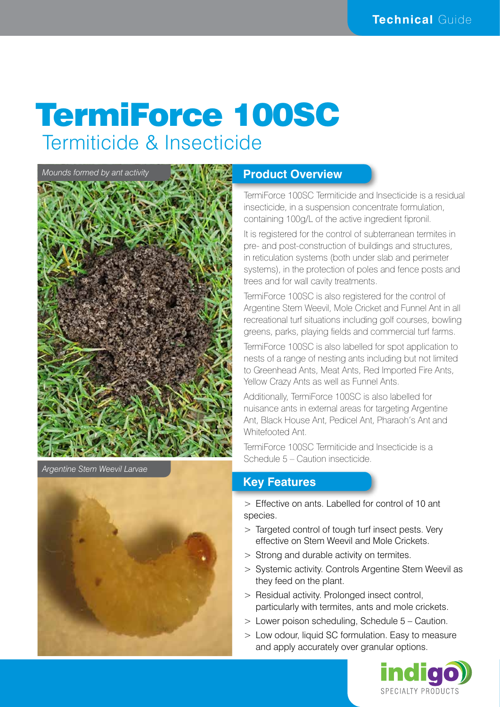# TermiForce 100SC Termiticide & Insecticide



*Argentine Stem Weevil Larvae*

### **Product Overview**

TermiForce 100SC Termiticide and Insecticide is a residual insecticide, in a suspension concentrate formulation, containing 100g/L of the active ingredient fipronil.

It is registered for the control of subterranean termites in pre- and post-construction of buildings and structures, in reticulation systems (both under slab and perimeter systems), in the protection of poles and fence posts and trees and for wall cavity treatments.

TermiForce 100SC is also registered for the control of Argentine Stem Weevil, Mole Cricket and Funnel Ant in all recreational turf situations including golf courses, bowling greens, parks, playing fields and commercial turf farms.

TermiForce 100SC is also labelled for spot application to nests of a range of nesting ants including but not limited to Greenhead Ants, Meat Ants, Red Imported Fire Ants, Yellow Crazy Ants as well as Funnel Ants.

Additionally, TermiForce 100SC is also labelled for nuisance ants in external areas for targeting Argentine Ant, Black House Ant, Pedicel Ant, Pharaoh's Ant and Whitefooted Ant.

TermiForce 100SC Termiticide and Insecticide is a Schedule 5 – Caution insecticide.

### **Key Features**

> Effective on ants. Labelled for control of 10 ant species.

- > Targeted control of tough turf insect pests. Very effective on Stem Weevil and Mole Crickets.
- > Strong and durable activity on termites.
- > Systemic activity. Controls Argentine Stem Weevil as they feed on the plant.
- > Residual activity. Prolonged insect control, particularly with termites, ants and mole crickets.
- > Lower poison scheduling, Schedule 5 Caution.
- > Low odour, liquid SC formulation. Easy to measure and apply accurately over granular options.